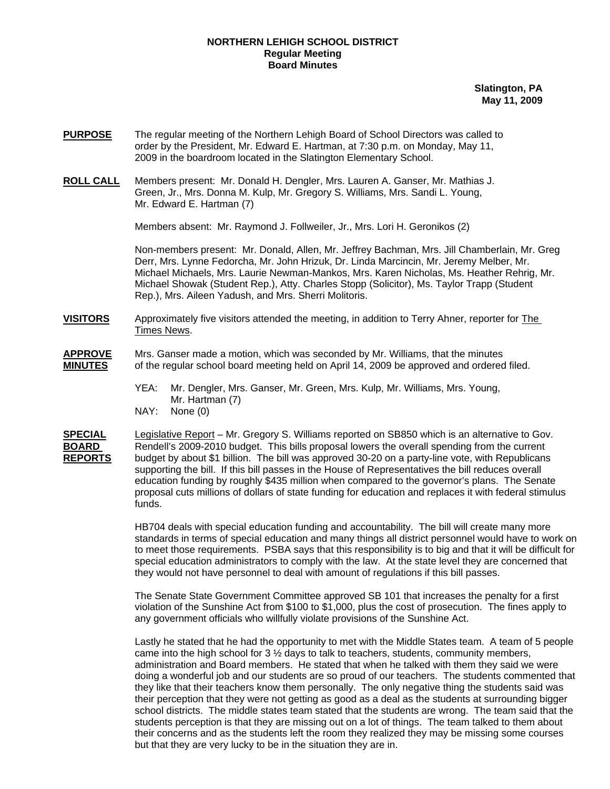### **NORTHERN LEHIGH SCHOOL DISTRICT Regular Meeting Board Minutes**

**Slatington, PA May 11, 2009**

- **PURPOSE** The regular meeting of the Northern Lehigh Board of School Directors was called to order by the President, Mr. Edward E. Hartman, at 7:30 p.m. on Monday, May 11, 2009 in the boardroom located in the Slatington Elementary School.
- **ROLL CALL** Members present: Mr. Donald H. Dengler, Mrs. Lauren A. Ganser, Mr. Mathias J. Green, Jr., Mrs. Donna M. Kulp, Mr. Gregory S. Williams, Mrs. Sandi L. Young, Mr. Edward E. Hartman (7)

Members absent: Mr. Raymond J. Follweiler, Jr., Mrs. Lori H. Geronikos (2)

Non-members present: Mr. Donald, Allen, Mr. Jeffrey Bachman, Mrs. Jill Chamberlain, Mr. Greg Derr, Mrs. Lynne Fedorcha, Mr. John Hrizuk, Dr. Linda Marcincin, Mr. Jeremy Melber, Mr. Michael Michaels, Mrs. Laurie Newman-Mankos, Mrs. Karen Nicholas, Ms. Heather Rehrig, Mr. Michael Showak (Student Rep.), Atty. Charles Stopp (Solicitor), Ms. Taylor Trapp (Student Rep.), Mrs. Aileen Yadush, and Mrs. Sherri Molitoris.

# **VISITORS** Approximately five visitors attended the meeting, in addition to Terry Ahner, reporter for The Times News.

# **APPROVE** Mrs. Ganser made a motion, which was seconded by Mr. Williams, that the minutes **MINUTES** of the regular school board meeting held on April 14, 2009 be approved and ordered filed.

- YEA: Mr. Dengler, Mrs. Ganser, Mr. Green, Mrs. Kulp, Mr. Williams, Mrs. Young, Mr. Hartman (7)
- NAY: None (0)

**SPECIAL** Legislative Report – Mr. Gregory S. Williams reported on SB850 which is an alternative to Gov. **BOARD** Rendell's 2009-2010 budget. This bills proposal lowers the overall spending from the current **REPORTS** budget by about \$1 billion. The bill was approved 30-20 on a party-line vote, with Republicans supporting the bill. If this bill passes in the House of Representatives the bill reduces overall education funding by roughly \$435 million when compared to the governor's plans. The Senate proposal cuts millions of dollars of state funding for education and replaces it with federal stimulus funds.

> HB704 deals with special education funding and accountability. The bill will create many more standards in terms of special education and many things all district personnel would have to work on to meet those requirements. PSBA says that this responsibility is to big and that it will be difficult for special education administrators to comply with the law. At the state level they are concerned that they would not have personnel to deal with amount of regulations if this bill passes.

The Senate State Government Committee approved SB 101 that increases the penalty for a first violation of the Sunshine Act from \$100 to \$1,000, plus the cost of prosecution. The fines apply to any government officials who willfully violate provisions of the Sunshine Act.

Lastly he stated that he had the opportunity to met with the Middle States team. A team of 5 people came into the high school for 3 ½ days to talk to teachers, students, community members, administration and Board members. He stated that when he talked with them they said we were doing a wonderful job and our students are so proud of our teachers. The students commented that they like that their teachers know them personally. The only negative thing the students said was their perception that they were not getting as good as a deal as the students at surrounding bigger school districts. The middle states team stated that the students are wrong. The team said that the students perception is that they are missing out on a lot of things. The team talked to them about their concerns and as the students left the room they realized they may be missing some courses but that they are very lucky to be in the situation they are in.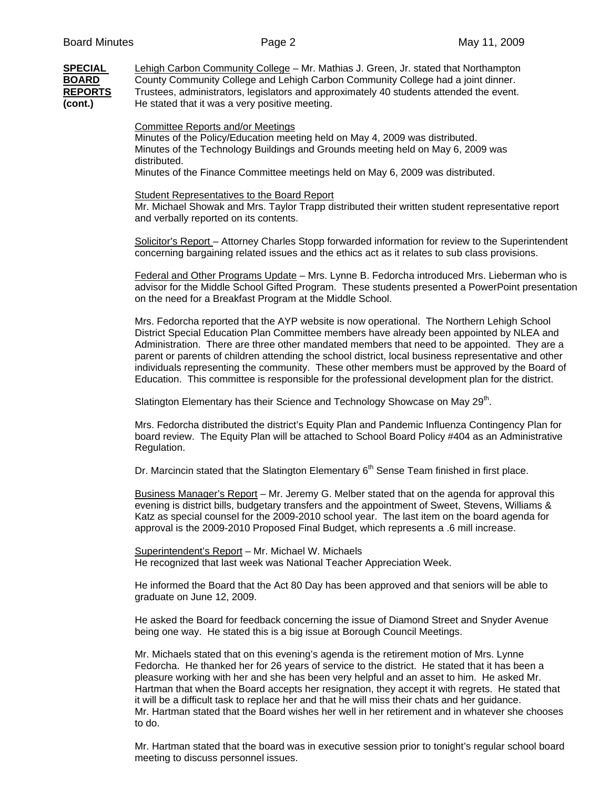**SPECIAL** Lehigh Carbon Community College – Mr. Mathias J. Green, Jr. stated that Northampton **BOARD** County Community College and Lehigh Carbon Community College had a joint dinner. **REPORTS** Trustees, administrators, legislators and approximately 40 students attended the event. **(cont.)** He stated that it was a very positive meeting.

#### Committee Reports and/or Meetings

Minutes of the Policy/Education meeting held on May 4, 2009 was distributed. Minutes of the Technology Buildings and Grounds meeting held on May 6, 2009 was distributed.

Minutes of the Finance Committee meetings held on May 6, 2009 was distributed.

#### Student Representatives to the Board Report

 Mr. Michael Showak and Mrs. Taylor Trapp distributed their written student representative report and verbally reported on its contents.

Solicitor's Report – Attorney Charles Stopp forwarded information for review to the Superintendent concerning bargaining related issues and the ethics act as it relates to sub class provisions.

Federal and Other Programs Update – Mrs. Lynne B. Fedorcha introduced Mrs. Lieberman who is advisor for the Middle School Gifted Program. These students presented a PowerPoint presentation on the need for a Breakfast Program at the Middle School.

Mrs. Fedorcha reported that the AYP website is now operational. The Northern Lehigh School District Special Education Plan Committee members have already been appointed by NLEA and Administration. There are three other mandated members that need to be appointed. They are a parent or parents of children attending the school district, local business representative and other individuals representing the community. These other members must be approved by the Board of Education. This committee is responsible for the professional development plan for the district.

Slatington Elementary has their Science and Technology Showcase on May 29<sup>th</sup>.

Mrs. Fedorcha distributed the district's Equity Plan and Pandemic Influenza Contingency Plan for board review. The Equity Plan will be attached to School Board Policy #404 as an Administrative Regulation.

Dr. Marcincin stated that the Slatington Elementary  $6<sup>th</sup>$  Sense Team finished in first place.

Business Manager's Report – Mr. Jeremy G. Melber stated that on the agenda for approval this evening is district bills, budgetary transfers and the appointment of Sweet, Stevens, Williams & Katz as special counsel for the 2009-2010 school year. The last item on the board agenda for approval is the 2009-2010 Proposed Final Budget, which represents a .6 mill increase.

Superintendent's Report – Mr. Michael W. Michaels He recognized that last week was National Teacher Appreciation Week.

He informed the Board that the Act 80 Day has been approved and that seniors will be able to graduate on June 12, 2009.

He asked the Board for feedback concerning the issue of Diamond Street and Snyder Avenue being one way. He stated this is a big issue at Borough Council Meetings.

Mr. Michaels stated that on this evening's agenda is the retirement motion of Mrs. Lynne Fedorcha. He thanked her for 26 years of service to the district. He stated that it has been a pleasure working with her and she has been very helpful and an asset to him. He asked Mr. Hartman that when the Board accepts her resignation, they accept it with regrets. He stated that it will be a difficult task to replace her and that he will miss their chats and her guidance. Mr. Hartman stated that the Board wishes her well in her retirement and in whatever she chooses to do.

Mr. Hartman stated that the board was in executive session prior to tonight's regular school board meeting to discuss personnel issues.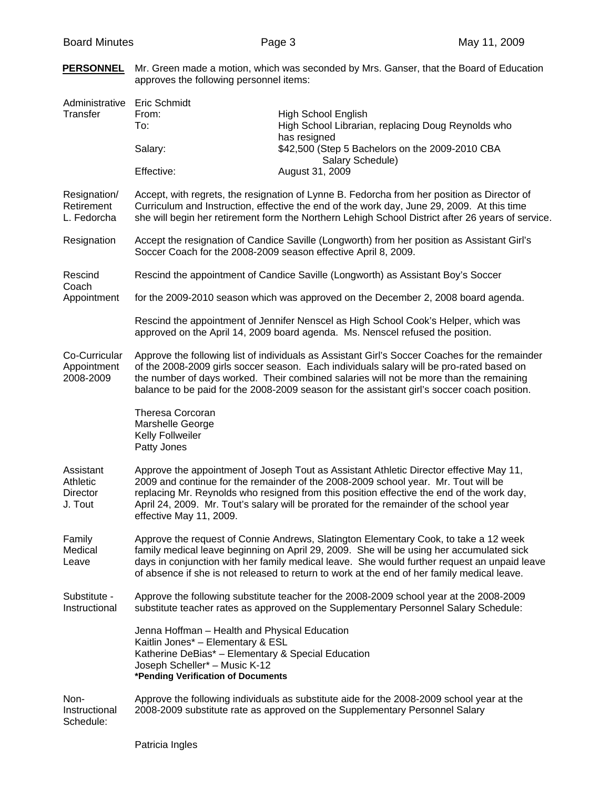| Administrative Eric Schmidt<br><b>Transfer</b>      | From:<br>To:<br>Salary:<br>Effective:                                                                                                                                                                                                                                                                                                                                                            | High School English<br>High School Librarian, replacing Doug Reynolds who<br>has resigned<br>\$42,500 (Step 5 Bachelors on the 2009-2010 CBA<br>Salary Schedule)<br>August 31, 2009 |  |  |  |
|-----------------------------------------------------|--------------------------------------------------------------------------------------------------------------------------------------------------------------------------------------------------------------------------------------------------------------------------------------------------------------------------------------------------------------------------------------------------|-------------------------------------------------------------------------------------------------------------------------------------------------------------------------------------|--|--|--|
| Resignation/<br>Retirement<br>L. Fedorcha           | Accept, with regrets, the resignation of Lynne B. Fedorcha from her position as Director of<br>Curriculum and Instruction, effective the end of the work day, June 29, 2009. At this time<br>she will begin her retirement form the Northern Lehigh School District after 26 years of service.                                                                                                   |                                                                                                                                                                                     |  |  |  |
| Resignation                                         | Accept the resignation of Candice Saville (Longworth) from her position as Assistant Girl's<br>Soccer Coach for the 2008-2009 season effective April 8, 2009.                                                                                                                                                                                                                                    |                                                                                                                                                                                     |  |  |  |
| Rescind<br>Coach                                    | Rescind the appointment of Candice Saville (Longworth) as Assistant Boy's Soccer                                                                                                                                                                                                                                                                                                                 |                                                                                                                                                                                     |  |  |  |
| Appointment                                         | for the 2009-2010 season which was approved on the December 2, 2008 board agenda.                                                                                                                                                                                                                                                                                                                |                                                                                                                                                                                     |  |  |  |
|                                                     | Rescind the appointment of Jennifer Nenscel as High School Cook's Helper, which was<br>approved on the April 14, 2009 board agenda. Ms. Nenscel refused the position.                                                                                                                                                                                                                            |                                                                                                                                                                                     |  |  |  |
| Co-Curricular<br>Appointment<br>2008-2009           | Approve the following list of individuals as Assistant Girl's Soccer Coaches for the remainder<br>of the 2008-2009 girls soccer season. Each individuals salary will be pro-rated based on<br>the number of days worked. Their combined salaries will not be more than the remaining<br>balance to be paid for the 2008-2009 season for the assistant girl's soccer coach position.              |                                                                                                                                                                                     |  |  |  |
|                                                     | <b>Theresa Corcoran</b><br>Marshelle George<br>Kelly Follweiler<br>Patty Jones                                                                                                                                                                                                                                                                                                                   |                                                                                                                                                                                     |  |  |  |
| Assistant<br>Athletic<br><b>Director</b><br>J. Tout | Approve the appointment of Joseph Tout as Assistant Athletic Director effective May 11,<br>2009 and continue for the remainder of the 2008-2009 school year. Mr. Tout will be<br>replacing Mr. Reynolds who resigned from this position effective the end of the work day,<br>April 24, 2009. Mr. Tout's salary will be prorated for the remainder of the school year<br>effective May 11, 2009. |                                                                                                                                                                                     |  |  |  |
| Family<br>Medical<br>Leave                          | Approve the request of Connie Andrews, Slatington Elementary Cook, to take a 12 week<br>family medical leave beginning on April 29, 2009. She will be using her accumulated sick<br>days in conjunction with her family medical leave. She would further request an unpaid leave<br>of absence if she is not released to return to work at the end of her family medical leave.                  |                                                                                                                                                                                     |  |  |  |
| Substitute -<br>Instructional                       | Approve the following substitute teacher for the 2008-2009 school year at the 2008-2009<br>substitute teacher rates as approved on the Supplementary Personnel Salary Schedule:                                                                                                                                                                                                                  |                                                                                                                                                                                     |  |  |  |
|                                                     | Jenna Hoffman - Health and Physical Education<br>Kaitlin Jones* - Elementary & ESL<br>Katherine DeBias* - Elementary & Special Education<br>Joseph Scheller* - Music K-12<br>*Pending Verification of Documents                                                                                                                                                                                  |                                                                                                                                                                                     |  |  |  |
| Non-<br>Instructional<br>Schedule:                  |                                                                                                                                                                                                                                                                                                                                                                                                  | Approve the following individuals as substitute aide for the 2008-2009 school year at the<br>2008-2009 substitute rate as approved on the Supplementary Personnel Salary            |  |  |  |

# **PERSONNEL** Mr. Green made a motion, which was seconded by Mrs. Ganser, that the Board of Education approves the following personnel items: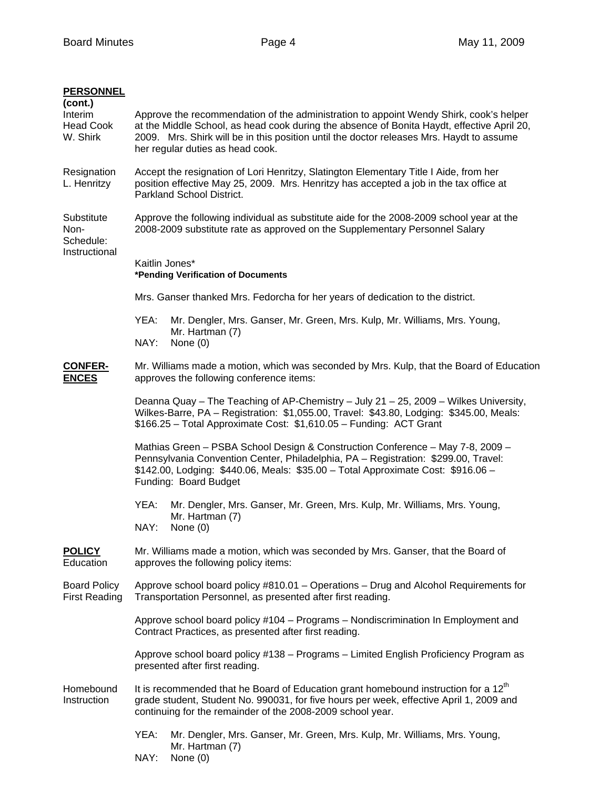| <b>PERSONNEL</b><br>(cont.)<br>Interim<br><b>Head Cook</b><br>W. Shirk | Approve the recommendation of the administration to appoint Wendy Shirk, cook's helper<br>at the Middle School, as head cook during the absence of Bonita Haydt, effective April 20,<br>2009. Mrs. Shirk will be in this position until the doctor releases Mrs. Haydt to assume<br>her regular duties as head cook. |  |  |  |  |
|------------------------------------------------------------------------|----------------------------------------------------------------------------------------------------------------------------------------------------------------------------------------------------------------------------------------------------------------------------------------------------------------------|--|--|--|--|
| Resignation<br>L. Henritzy                                             | Accept the resignation of Lori Henritzy, Slatington Elementary Title I Aide, from her<br>position effective May 25, 2009. Mrs. Henritzy has accepted a job in the tax office at<br>Parkland School District.                                                                                                         |  |  |  |  |
| Substitute<br>Non-<br>Schedule:                                        | Approve the following individual as substitute aide for the 2008-2009 school year at the<br>2008-2009 substitute rate as approved on the Supplementary Personnel Salary                                                                                                                                              |  |  |  |  |
| Instructional                                                          | Kaitlin Jones*<br>*Pending Verification of Documents                                                                                                                                                                                                                                                                 |  |  |  |  |
|                                                                        | Mrs. Ganser thanked Mrs. Fedorcha for her years of dedication to the district.                                                                                                                                                                                                                                       |  |  |  |  |
|                                                                        | YEA:<br>Mr. Dengler, Mrs. Ganser, Mr. Green, Mrs. Kulp, Mr. Williams, Mrs. Young,<br>Mr. Hartman (7)                                                                                                                                                                                                                 |  |  |  |  |
|                                                                        | None (0)<br>NAY:                                                                                                                                                                                                                                                                                                     |  |  |  |  |
| <b>CONFER-</b><br><b>ENCES</b>                                         | Mr. Williams made a motion, which was seconded by Mrs. Kulp, that the Board of Education<br>approves the following conference items:                                                                                                                                                                                 |  |  |  |  |
|                                                                        | Deanna Quay - The Teaching of AP-Chemistry - July 21 - 25, 2009 - Wilkes University,<br>Wilkes-Barre, PA - Registration: \$1,055.00, Travel: \$43.80, Lodging: \$345.00, Meals:<br>\$166.25 - Total Approximate Cost: \$1,610.05 - Funding: ACT Grant                                                                |  |  |  |  |
|                                                                        | Mathias Green - PSBA School Design & Construction Conference - May 7-8, 2009 -<br>Pennsylvania Convention Center, Philadelphia, PA - Registration: \$299.00, Travel:<br>\$142.00, Lodging: \$440.06, Meals: \$35.00 - Total Approximate Cost: \$916.06 -<br>Funding: Board Budget                                    |  |  |  |  |
|                                                                        | YEA:<br>Mr. Dengler, Mrs. Ganser, Mr. Green, Mrs. Kulp, Mr. Williams, Mrs. Young,<br>Mr. Hartman (7)<br>NAY:<br>None (0)                                                                                                                                                                                             |  |  |  |  |
| <b>POLICY</b><br>Education                                             | Mr. Williams made a motion, which was seconded by Mrs. Ganser, that the Board of<br>approves the following policy items:                                                                                                                                                                                             |  |  |  |  |
| <b>Board Policy</b><br><b>First Reading</b>                            | Approve school board policy #810.01 - Operations - Drug and Alcohol Requirements for<br>Transportation Personnel, as presented after first reading.                                                                                                                                                                  |  |  |  |  |
|                                                                        | Approve school board policy #104 - Programs - Nondiscrimination In Employment and<br>Contract Practices, as presented after first reading.                                                                                                                                                                           |  |  |  |  |
|                                                                        | Approve school board policy #138 - Programs - Limited English Proficiency Program as<br>presented after first reading.                                                                                                                                                                                               |  |  |  |  |
| Homebound<br>Instruction                                               | It is recommended that he Board of Education grant homebound instruction for a 12 <sup>th</sup><br>grade student, Student No. 990031, for five hours per week, effective April 1, 2009 and<br>continuing for the remainder of the 2008-2009 school year.                                                             |  |  |  |  |
|                                                                        | YEA:<br>Mr. Dengler, Mrs. Ganser, Mr. Green, Mrs. Kulp, Mr. Williams, Mrs. Young,<br>Mr. Hartman (7)<br>NAY:<br>None (0)                                                                                                                                                                                             |  |  |  |  |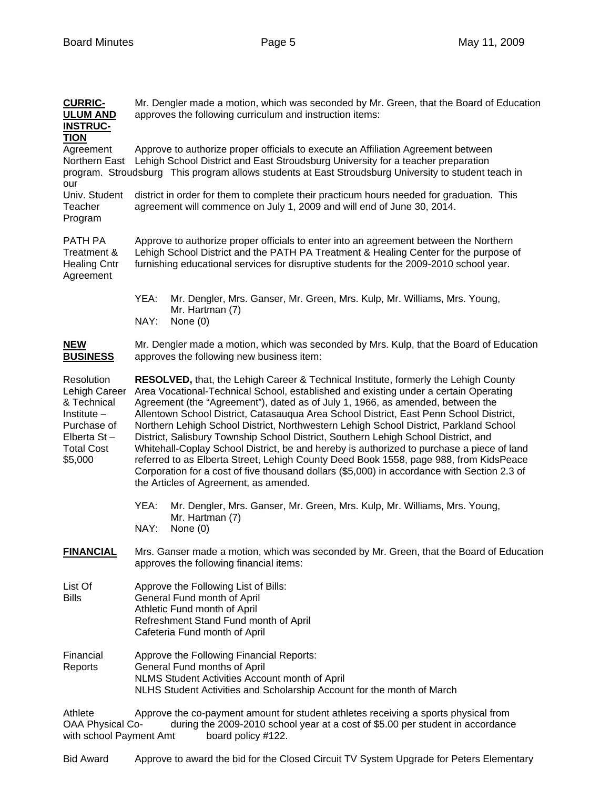| <b>CURRIC-</b><br><b>ULUM AND</b><br><b>INSTRUC-</b>                                                                         | Mr. Dengler made a motion, which was seconded by Mr. Green, that the Board of Education<br>approves the following curriculum and instruction items:                                                                                                                                                                                                                                                                                                                                                                                                                                                                                                                                                                                                                                                                                                                   |  |  |
|------------------------------------------------------------------------------------------------------------------------------|-----------------------------------------------------------------------------------------------------------------------------------------------------------------------------------------------------------------------------------------------------------------------------------------------------------------------------------------------------------------------------------------------------------------------------------------------------------------------------------------------------------------------------------------------------------------------------------------------------------------------------------------------------------------------------------------------------------------------------------------------------------------------------------------------------------------------------------------------------------------------|--|--|
| <b>TION</b><br>Agreement<br>Northern East<br>our                                                                             | Approve to authorize proper officials to execute an Affiliation Agreement between<br>Lehigh School District and East Stroudsburg University for a teacher preparation<br>program. Stroudsburg This program allows students at East Stroudsburg University to student teach in                                                                                                                                                                                                                                                                                                                                                                                                                                                                                                                                                                                         |  |  |
| Univ. Student<br>Teacher<br>Program                                                                                          | district in order for them to complete their practicum hours needed for graduation. This<br>agreement will commence on July 1, 2009 and will end of June 30, 2014.                                                                                                                                                                                                                                                                                                                                                                                                                                                                                                                                                                                                                                                                                                    |  |  |
| PATH PA<br>Treatment &<br><b>Healing Cntr</b><br>Agreement                                                                   | Approve to authorize proper officials to enter into an agreement between the Northern<br>Lehigh School District and the PATH PA Treatment & Healing Center for the purpose of<br>furnishing educational services for disruptive students for the 2009-2010 school year.                                                                                                                                                                                                                                                                                                                                                                                                                                                                                                                                                                                               |  |  |
|                                                                                                                              | YEA:<br>Mr. Dengler, Mrs. Ganser, Mr. Green, Mrs. Kulp, Mr. Williams, Mrs. Young,<br>Mr. Hartman (7)<br>NAY:<br>None (0)                                                                                                                                                                                                                                                                                                                                                                                                                                                                                                                                                                                                                                                                                                                                              |  |  |
| <b>NEW</b><br><b>BUSINESS</b>                                                                                                | Mr. Dengler made a motion, which was seconded by Mrs. Kulp, that the Board of Education<br>approves the following new business item:                                                                                                                                                                                                                                                                                                                                                                                                                                                                                                                                                                                                                                                                                                                                  |  |  |
| Resolution<br>Lehigh Career<br>& Technical<br>Institute $-$<br>Purchase of<br>Elberta $St -$<br><b>Total Cost</b><br>\$5,000 | RESOLVED, that, the Lehigh Career & Technical Institute, formerly the Lehigh County<br>Area Vocational-Technical School, established and existing under a certain Operating<br>Agreement (the "Agreement"), dated as of July 1, 1966, as amended, between the<br>Allentown School District, Catasauqua Area School District, East Penn School District,<br>Northern Lehigh School District, Northwestern Lehigh School District, Parkland School<br>District, Salisbury Township School District, Southern Lehigh School District, and<br>Whitehall-Coplay School District, be and hereby is authorized to purchase a piece of land<br>referred to as Elberta Street, Lehigh County Deed Book 1558, page 988, from KidsPeace<br>Corporation for a cost of five thousand dollars (\$5,000) in accordance with Section 2.3 of<br>the Articles of Agreement, as amended. |  |  |
|                                                                                                                              | YEA:<br>Mr. Dengler, Mrs. Ganser, Mr. Green, Mrs. Kulp, Mr. Williams, Mrs. Young,<br>Mr. Hartman (7)<br>NAY:<br>None (0)                                                                                                                                                                                                                                                                                                                                                                                                                                                                                                                                                                                                                                                                                                                                              |  |  |
| <b>FINANCIAL</b>                                                                                                             | Mrs. Ganser made a motion, which was seconded by Mr. Green, that the Board of Education<br>approves the following financial items:                                                                                                                                                                                                                                                                                                                                                                                                                                                                                                                                                                                                                                                                                                                                    |  |  |
| List Of<br><b>Bills</b>                                                                                                      | Approve the Following List of Bills:<br>General Fund month of April<br>Athletic Fund month of April<br>Refreshment Stand Fund month of April<br>Cafeteria Fund month of April                                                                                                                                                                                                                                                                                                                                                                                                                                                                                                                                                                                                                                                                                         |  |  |
| Financial<br>Reports                                                                                                         | Approve the Following Financial Reports:<br>General Fund months of April<br>NLMS Student Activities Account month of April<br>NLHS Student Activities and Scholarship Account for the month of March                                                                                                                                                                                                                                                                                                                                                                                                                                                                                                                                                                                                                                                                  |  |  |
| Athlete<br><b>OAA Physical Co-</b>                                                                                           | Approve the co-payment amount for student athletes receiving a sports physical from<br>during the 2009-2010 school year at a cost of \$5.00 per student in accordance                                                                                                                                                                                                                                                                                                                                                                                                                                                                                                                                                                                                                                                                                                 |  |  |

with school Payment Amt board policy #122.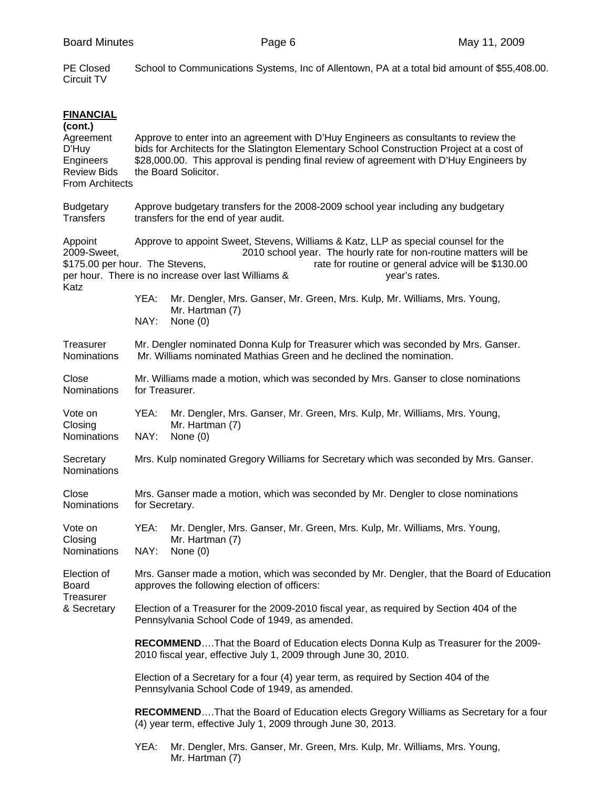| <b>PE Closed</b><br>Circuit TV                                                                                 | School to Communications Systems, Inc of Allentown, PA at a total bid amount of \$55,408.00.                                                                                                                                                                                                                                                                                                                   |                                                                                                            |  |  |  |
|----------------------------------------------------------------------------------------------------------------|----------------------------------------------------------------------------------------------------------------------------------------------------------------------------------------------------------------------------------------------------------------------------------------------------------------------------------------------------------------------------------------------------------------|------------------------------------------------------------------------------------------------------------|--|--|--|
| <b>FINANCIAL</b><br>(cont.)<br>Agreement<br>D'Huy<br>Engineers<br><b>Review Bids</b><br><b>From Architects</b> | Approve to enter into an agreement with D'Huy Engineers as consultants to review the<br>bids for Architects for the Slatington Elementary School Construction Project at a cost of<br>\$28,000.00. This approval is pending final review of agreement with D'Huy Engineers by<br>the Board Solicitor.                                                                                                          |                                                                                                            |  |  |  |
| <b>Budgetary</b><br><b>Transfers</b>                                                                           | Approve budgetary transfers for the 2008-2009 school year including any budgetary<br>transfers for the end of year audit.                                                                                                                                                                                                                                                                                      |                                                                                                            |  |  |  |
| Appoint<br>2009-Sweet,<br>Katz                                                                                 | Approve to appoint Sweet, Stevens, Williams & Katz, LLP as special counsel for the<br>2010 school year. The hourly rate for non-routine matters will be<br>\$175.00 per hour. The Stevens,<br>rate for routine or general advice will be \$130.00<br>per hour. There is no increase over last Williams &<br>year's rates.<br>YEA:<br>Mr. Dengler, Mrs. Ganser, Mr. Green, Mrs. Kulp, Mr. Williams, Mrs. Young, |                                                                                                            |  |  |  |
|                                                                                                                | NAY:                                                                                                                                                                                                                                                                                                                                                                                                           | Mr. Hartman (7)<br>None $(0)$                                                                              |  |  |  |
| Treasurer<br><b>Nominations</b>                                                                                | Mr. Dengler nominated Donna Kulp for Treasurer which was seconded by Mrs. Ganser.<br>Mr. Williams nominated Mathias Green and he declined the nomination.                                                                                                                                                                                                                                                      |                                                                                                            |  |  |  |
| Close<br>Nominations                                                                                           | Mr. Williams made a motion, which was seconded by Mrs. Ganser to close nominations<br>for Treasurer.                                                                                                                                                                                                                                                                                                           |                                                                                                            |  |  |  |
| Vote on<br>Closing<br>Nominations                                                                              | YEA:<br>NAY:                                                                                                                                                                                                                                                                                                                                                                                                   | Mr. Dengler, Mrs. Ganser, Mr. Green, Mrs. Kulp, Mr. Williams, Mrs. Young,<br>Mr. Hartman (7)<br>None $(0)$ |  |  |  |
| Secretary<br>Nominations                                                                                       | Mrs. Kulp nominated Gregory Williams for Secretary which was seconded by Mrs. Ganser.                                                                                                                                                                                                                                                                                                                          |                                                                                                            |  |  |  |
| Close<br>Nominations                                                                                           | Mrs. Ganser made a motion, which was seconded by Mr. Dengler to close nominations<br>for Secretary.                                                                                                                                                                                                                                                                                                            |                                                                                                            |  |  |  |
| Vote on<br>Closing<br>Nominations                                                                              | YEA:<br>NAY:                                                                                                                                                                                                                                                                                                                                                                                                   | Mr. Dengler, Mrs. Ganser, Mr. Green, Mrs. Kulp, Mr. Williams, Mrs. Young,<br>Mr. Hartman (7)<br>None $(0)$ |  |  |  |
| Election of<br>Board<br>Treasurer<br>& Secretary                                                               | Mrs. Ganser made a motion, which was seconded by Mr. Dengler, that the Board of Education<br>approves the following election of officers:                                                                                                                                                                                                                                                                      |                                                                                                            |  |  |  |
|                                                                                                                | Election of a Treasurer for the 2009-2010 fiscal year, as required by Section 404 of the<br>Pennsylvania School Code of 1949, as amended.                                                                                                                                                                                                                                                                      |                                                                                                            |  |  |  |
|                                                                                                                | RECOMMENDThat the Board of Education elects Donna Kulp as Treasurer for the 2009-<br>2010 fiscal year, effective July 1, 2009 through June 30, 2010.                                                                                                                                                                                                                                                           |                                                                                                            |  |  |  |
|                                                                                                                | Election of a Secretary for a four (4) year term, as required by Section 404 of the<br>Pennsylvania School Code of 1949, as amended.                                                                                                                                                                                                                                                                           |                                                                                                            |  |  |  |
|                                                                                                                | <b>RECOMMENDThat the Board of Education elects Gregory Williams as Secretary for a four</b><br>(4) year term, effective July 1, 2009 through June 30, 2013.                                                                                                                                                                                                                                                    |                                                                                                            |  |  |  |
|                                                                                                                | YEA:                                                                                                                                                                                                                                                                                                                                                                                                           | Mr. Dengler, Mrs. Ganser, Mr. Green, Mrs. Kulp, Mr. Williams, Mrs. Young,<br>Mr. Hartman (7)               |  |  |  |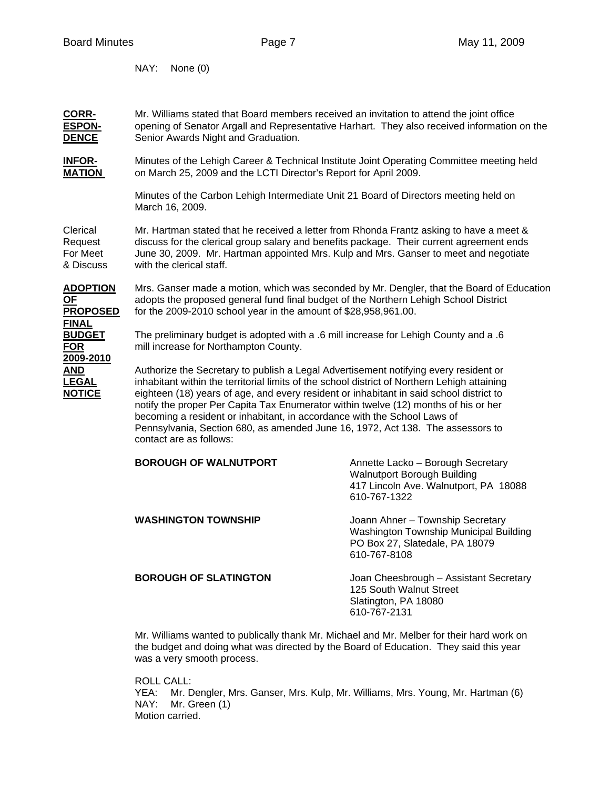**FINAL**

**2009-2010**

NAY: None (0)

**CORR-** Mr. Williams stated that Board members received an invitation to attend the joint office **ESPON-** opening of Senator Argall and Representative Harhart. They also received information on the **DENCE** Senior Awards Night and Graduation.

**INFOR-** Minutes of the Lehigh Career & Technical Institute Joint Operating Committee meeting held **MATION** on March 25, 2009 and the LCTI Director's Report for April 2009.

> Minutes of the Carbon Lehigh Intermediate Unit 21 Board of Directors meeting held on March 16, 2009.

Clerical Mr. Hartman stated that he received a letter from Rhonda Frantz asking to have a meet & Request discuss for the clerical group salary and benefits package. Their current agreement ends For Meet June 30, 2009. Mr. Hartman appointed Mrs. Kulp and Mrs. Ganser to meet and negotiate & Discuss with the clerical staff.

**ADOPTION** Mrs. Ganser made a motion, which was seconded by Mr. Dengler, that the Board of Education **OF** adopts the proposed general fund final budget of the Northern Lehigh School District **PROPOSED** for the 2009-2010 school year in the amount of \$28,958,961.00.

**BUDGET** The preliminary budget is adopted with a .6 mill increase for Lehigh County and a .6 **FOR** mill increase for Northampton County.

**AND** Authorize the Secretary to publish a Legal Advertisement notifying every resident or **LEGAL** inhabitant within the territorial limits of the school district of Northern Lehigh attaining **NOTICE** eighteen (18) years of age, and every resident or inhabitant in said school district to notify the proper Per Capita Tax Enumerator within twelve (12) months of his or her becoming a resident or inhabitant, in accordance with the School Laws of Pennsylvania, Section 680, as amended June 16, 1972, Act 138. The assessors to contact are as follows:

| <b>BOROUGH OF WALNUTPORT</b> | Annette Lacko - Borough Secretary<br>Walnutport Borough Building<br>417 Lincoln Ave. Walnutport, PA 18088<br>610-767-1322    |
|------------------------------|------------------------------------------------------------------------------------------------------------------------------|
| <b>WASHINGTON TOWNSHIP</b>   | Joann Ahner - Township Secretary<br>Washington Township Municipal Building<br>PO Box 27, Slatedale, PA 18079<br>610-767-8108 |
| <b>BOROUGH OF SLATINGTON</b> | Joan Cheesbrough - Assistant Secretary<br>125 South Walnut Street<br>Slatington, PA 18080<br>610-767-2131                    |

Mr. Williams wanted to publically thank Mr. Michael and Mr. Melber for their hard work on the budget and doing what was directed by the Board of Education. They said this year was a very smooth process.

 ROLL CALL: YEA: Mr. Dengler, Mrs. Ganser, Mrs. Kulp, Mr. Williams, Mrs. Young, Mr. Hartman (6) NAY: Mr. Green (1) Motion carried.